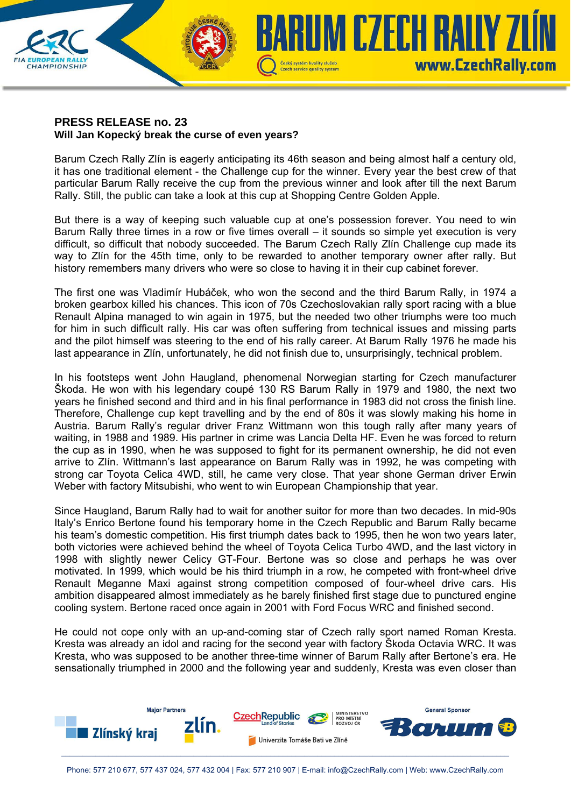

## **PRESS RELEASE no. 23 Will Jan Kopecký break the curse of even years?**

Barum Czech Rally Zlín is eagerly anticipating its 46th season and being almost half a century old, it has one traditional element - the Challenge cup for the winner. Every year the best crew of that particular Barum Rally receive the cup from the previous winner and look after till the next Barum Rally. Still, the public can take a look at this cup at Shopping Centre Golden Apple.

But there is a way of keeping such valuable cup at one's possession forever. You need to win Barum Rally three times in a row or five times overall – it sounds so simple yet execution is very difficult, so difficult that nobody succeeded. The Barum Czech Rally Zlín Challenge cup made its way to Zlín for the 45th time, only to be rewarded to another temporary owner after rally. But history remembers many drivers who were so close to having it in their cup cabinet forever.

The first one was Vladimír Hubáček, who won the second and the third Barum Rally, in 1974 a broken gearbox killed his chances. This icon of 70s Czechoslovakian rally sport racing with a blue Renault Alpina managed to win again in 1975, but the needed two other triumphs were too much for him in such difficult rally. His car was often suffering from technical issues and missing parts and the pilot himself was steering to the end of his rally career. At Barum Rally 1976 he made his last appearance in Zlín, unfortunately, he did not finish due to, unsurprisingly, technical problem.

In his footsteps went John Haugland, phenomenal Norwegian starting for Czech manufacturer Škoda. He won with his legendary coupé 130 RS Barum Rally in 1979 and 1980, the next two years he finished second and third and in his final performance in 1983 did not cross the finish line. Therefore, Challenge cup kept travelling and by the end of 80s it was slowly making his home in Austria. Barum Rally's regular driver Franz Wittmann won this tough rally after many years of waiting, in 1988 and 1989. His partner in crime was Lancia Delta HF. Even he was forced to return the cup as in 1990, when he was supposed to fight for its permanent ownership, he did not even arrive to Zlín. Wittmann's last appearance on Barum Rally was in 1992, he was competing with strong car Toyota Celica 4WD, still, he came very close. That year shone German driver Erwin Weber with factory Mitsubishi, who went to win European Championship that year.

Since Haugland, Barum Rally had to wait for another suitor for more than two decades. In mid-90s Italy's Enrico Bertone found his temporary home in the Czech Republic and Barum Rally became his team's domestic competition. His first triumph dates back to 1995, then he won two years later, both victories were achieved behind the wheel of Toyota Celica Turbo 4WD, and the last victory in 1998 with slightly newer Celicy GT-Four. Bertone was so close and perhaps he was over motivated. In 1999, which would be his third triumph in a row, he competed with front-wheel drive Renault Meganne Maxi against strong competition composed of four-wheel drive cars. His ambition disappeared almost immediately as he barely finished first stage due to punctured engine cooling system. Bertone raced once again in 2001 with Ford Focus WRC and finished second.

He could not cope only with an up-and-coming star of Czech rally sport named Roman Kresta. Kresta was already an idol and racing for the second year with factory Škoda Octavia WRC. It was Kresta, who was supposed to be another three-time winner of Barum Rally after Bertone's era. He sensationally triumphed in 2000 and the following year and suddenly, Kresta was even closer than